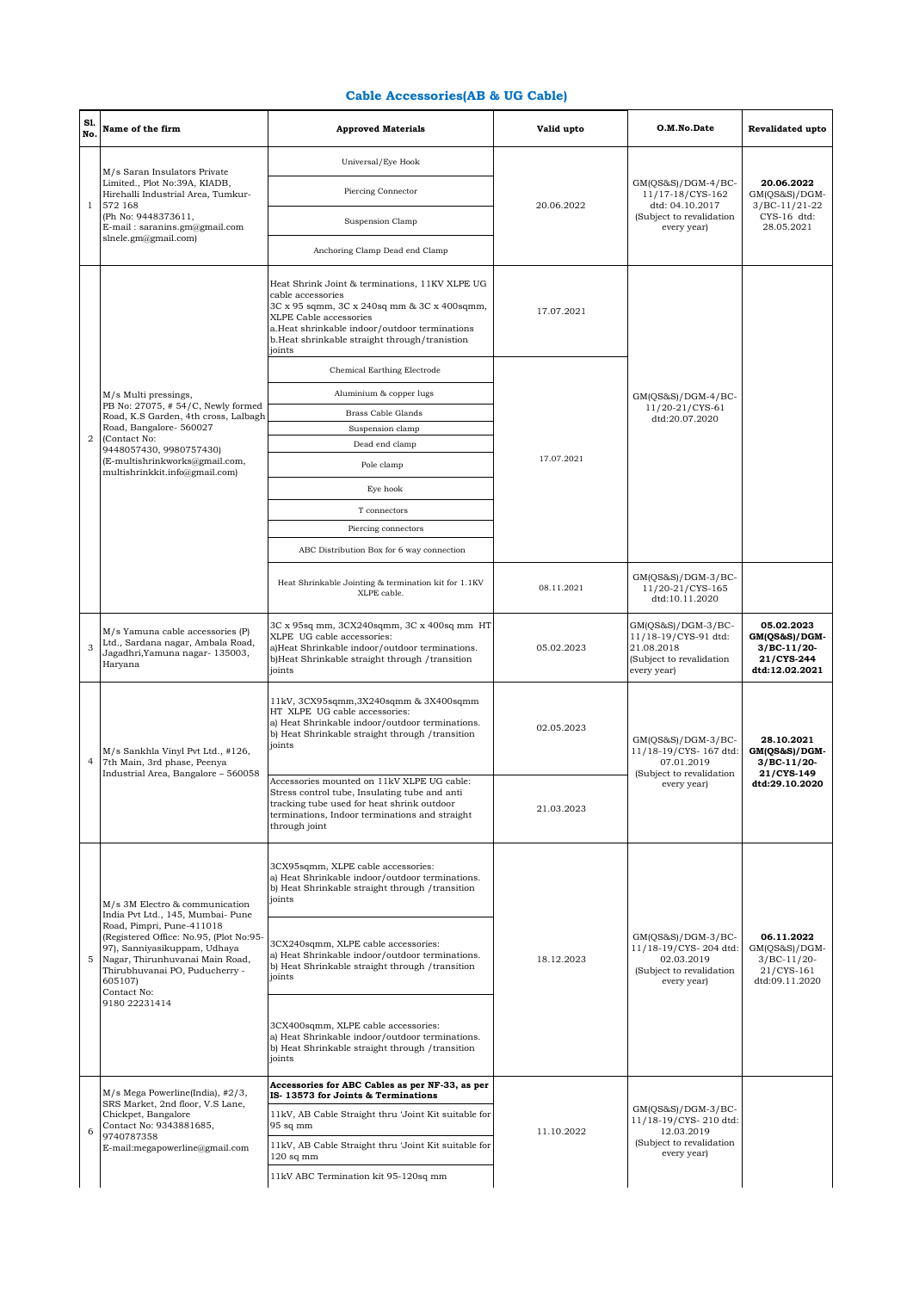## **Cable Accessories(AB & UG Cable)**

| S1.<br>No.     | Name of the firm                                                                                                                                                                                                                                                                            | <b>Approved Materials</b>                                                                                                                                                                                                                                | Valid upto | O.M.No.Date                                                                                             | Revalidated upto                                                             |
|----------------|---------------------------------------------------------------------------------------------------------------------------------------------------------------------------------------------------------------------------------------------------------------------------------------------|----------------------------------------------------------------------------------------------------------------------------------------------------------------------------------------------------------------------------------------------------------|------------|---------------------------------------------------------------------------------------------------------|------------------------------------------------------------------------------|
|                | M/s Saran Insulators Private<br>Limited., Plot No:39A, KIADB,<br>Hirehalli Industrial Area, Tumkur-<br>572 168<br>(Ph No: 9448373611,<br>E-mail: saranins.gm@gmail.com<br>slnele.gm@gmail.com)                                                                                              | Universal/Eye Hook                                                                                                                                                                                                                                       | 20.06.2022 | GM(QS&S)/DGM-4/BC-<br>11/17-18/CYS-162<br>dtd: 04.10.2017<br>(Subject to revalidation<br>every year)    | 20.06.2022<br>GM(OS&S)/DGM-<br>$3/BC-11/21-22$<br>CYS-16 dtd:<br>28.05.2021  |
|                |                                                                                                                                                                                                                                                                                             | Piercing Connector                                                                                                                                                                                                                                       |            |                                                                                                         |                                                                              |
| $\mathbf{1}$   |                                                                                                                                                                                                                                                                                             | Suspension Clamp                                                                                                                                                                                                                                         |            |                                                                                                         |                                                                              |
|                |                                                                                                                                                                                                                                                                                             | Anchoring Clamp Dead end Clamp                                                                                                                                                                                                                           |            |                                                                                                         |                                                                              |
|                |                                                                                                                                                                                                                                                                                             | Heat Shrink Joint & terminations, 11KV XLPE UG<br>cable accessories<br>3C x 95 sqmm, 3C x 240sq mm & 3C x 400sqmm,<br>XLPE Cable accessories<br>a.Heat shrinkable indoor/outdoor terminations<br>b.Heat shrinkable straight through/tranistion<br>joints | 17.07.2021 | $GM(QS&S)/DGM-4/BC-$<br>11/20-21/CYS-61<br>dtd:20.07.2020                                               |                                                                              |
|                |                                                                                                                                                                                                                                                                                             | Chemical Earthing Electrode                                                                                                                                                                                                                              |            |                                                                                                         |                                                                              |
|                | M/s Multi pressings,                                                                                                                                                                                                                                                                        | Aluminium & copper lugs                                                                                                                                                                                                                                  |            |                                                                                                         |                                                                              |
|                | PB No: 27075, #54/C, Newly formed<br>Road, K.S Garden, 4th cross, Lalbagh                                                                                                                                                                                                                   | Brass Cable Glands                                                                                                                                                                                                                                       |            |                                                                                                         |                                                                              |
| $\overline{a}$ | Road, Bangalore- 560027                                                                                                                                                                                                                                                                     | Suspension clamp                                                                                                                                                                                                                                         |            |                                                                                                         |                                                                              |
|                | (Contact No:<br>9448057430, 9980757430)                                                                                                                                                                                                                                                     | Dead end clamp                                                                                                                                                                                                                                           |            |                                                                                                         |                                                                              |
|                | (E-multishrinkworks@gmail.com,<br>multishrinkkit.info@gmail.com)                                                                                                                                                                                                                            | Pole clamp                                                                                                                                                                                                                                               | 17.07.2021 |                                                                                                         |                                                                              |
|                |                                                                                                                                                                                                                                                                                             | Eye hook                                                                                                                                                                                                                                                 |            |                                                                                                         |                                                                              |
|                |                                                                                                                                                                                                                                                                                             | T connectors                                                                                                                                                                                                                                             |            |                                                                                                         |                                                                              |
|                |                                                                                                                                                                                                                                                                                             | Piercing connectors                                                                                                                                                                                                                                      |            |                                                                                                         |                                                                              |
|                |                                                                                                                                                                                                                                                                                             | ABC Distribution Box for 6 way connection                                                                                                                                                                                                                |            |                                                                                                         |                                                                              |
|                |                                                                                                                                                                                                                                                                                             | Heat Shrinkable Jointing & termination kit for 1.1KV<br>XLPE cable.                                                                                                                                                                                      | 08.11.2021 | GM(QS&S)/DGM-3/BC-<br>11/20-21/CYS-165<br>dtd:10.11.2020                                                |                                                                              |
| 3              | $M/s$ Yamuna cable accessories $(P)$<br>Ltd., Sardana nagar, Ambala Road,<br>Jagadhri, Yamuna nagar- 135003,<br>Haryana                                                                                                                                                                     | 3C x 95sq mm, 3CX240sqmm, 3C x 400sq mm HT<br>XLPE UG cable accessories:<br>a)Heat Shrinkable indoor/outdoor terminations.<br>b)Heat Shrinkable straight through / transition<br>joints                                                                  | 05.02.2023 | GM(QS&S)/DGM-3/BC-<br>11/18-19/CYS-91 dtd:<br>21.08.2018<br>(Subject to revalidation<br>every year)     | 05.02.2023<br>GM(QS&S)/DGM-<br>$3/BC-11/20-$<br>21/CYS-244<br>dtd:12.02.2021 |
| 4              | M/s Sankhla Vinyl Pvt Ltd., #126,<br>7th Main, 3rd phase, Peenya<br>Industrial Area, Bangalore - 560058                                                                                                                                                                                     | 11kV, 3CX95sqmm, 3X240sqmm & 3X400sqmm<br>HT XLPE UG cable accessories:<br>a) Heat Shrinkable indoor/outdoor terminations.<br>b) Heat Shrinkable straight through /transition<br>joints                                                                  | 02.05.2023 | $GM(QS&S)/DGM-3/BC-$<br>11/18-19/CYS- 167 dtd:<br>07.01.2019<br>(Subject to revalidation<br>every year) | 28.10.2021<br>GM(QS&S)/DGM-<br>$3/BC-11/20-$<br>21/CYS-149<br>dtd:29.10.2020 |
|                |                                                                                                                                                                                                                                                                                             | Accessories mounted on 11kV XLPE UG cable:<br>Stress control tube, Insulating tube and anti<br>tracking tube used for heat shrink outdoor<br>terminations, Indoor terminations and straight<br>through joint                                             | 21.03.2023 |                                                                                                         |                                                                              |
| 5              | M/s 3M Electro & communication<br>India Pvt Ltd., 145, Mumbai- Pune<br>Road, Pimpri, Pune-411018<br>(Registered Office: No.95, (Plot No:95-<br>97), Sanniyasikuppam, Udhaya<br>Nagar, Thirunhuvanai Main Road,<br>Thirubhuvanai PO, Puducherry -<br>605107)<br>Contact No:<br>9180 22231414 | 3CX95sqmm, XLPE cable accessories:<br>a) Heat Shrinkable indoor/outdoor terminations.<br>b) Heat Shrinkable straight through /transition<br>joints                                                                                                       | 18.12.2023 | GM(QS&S)/DGM-3/BC-<br>11/18-19/CYS-204 dtd:<br>02.03.2019<br>(Subject to revalidation<br>every year)    |                                                                              |
|                |                                                                                                                                                                                                                                                                                             | 3CX240sqmm, XLPE cable accessories:<br>a) Heat Shrinkable indoor/outdoor terminations.<br>b) Heat Shrinkable straight through / transition<br>joints                                                                                                     |            |                                                                                                         | 06.11.2022<br>GM(QS&S)/DGM-<br>$3/BC-11/20-$<br>21/CYS-161<br>dtd:09.11.2020 |
|                |                                                                                                                                                                                                                                                                                             | 3CX400sqmm, XLPE cable accessories:<br>a) Heat Shrinkable indoor/outdoor terminations.<br>b) Heat Shrinkable straight through /transition<br>joints                                                                                                      |            |                                                                                                         |                                                                              |
| 6              | M/s Mega Powerline(India), #2/3,<br>SRS Market, 2nd floor, V.S Lane,<br>Chickpet, Bangalore<br>Contact No: 9343881685,<br>9740787358<br>E-mail:megapowerline@gmail.com                                                                                                                      | Accessories for ABC Cables as per NF-33, as per<br>IS-13573 for Joints & Terminations                                                                                                                                                                    | 11.10.2022 | $GM(QS&S)/DGM-3/BC-$<br>11/18-19/CYS-210 dtd:<br>12.03.2019                                             |                                                                              |
|                |                                                                                                                                                                                                                                                                                             | 11kV, AB Cable Straight thru 'Joint Kit suitable for<br>95 sq mm                                                                                                                                                                                         |            |                                                                                                         |                                                                              |
|                |                                                                                                                                                                                                                                                                                             | 11kV, AB Cable Straight thru 'Joint Kit suitable for<br>$120$ sq mm                                                                                                                                                                                      |            | (Subject to revalidation<br>every year)                                                                 |                                                                              |
|                |                                                                                                                                                                                                                                                                                             | 11kV ABC Termination kit 95-120sq mm                                                                                                                                                                                                                     |            |                                                                                                         |                                                                              |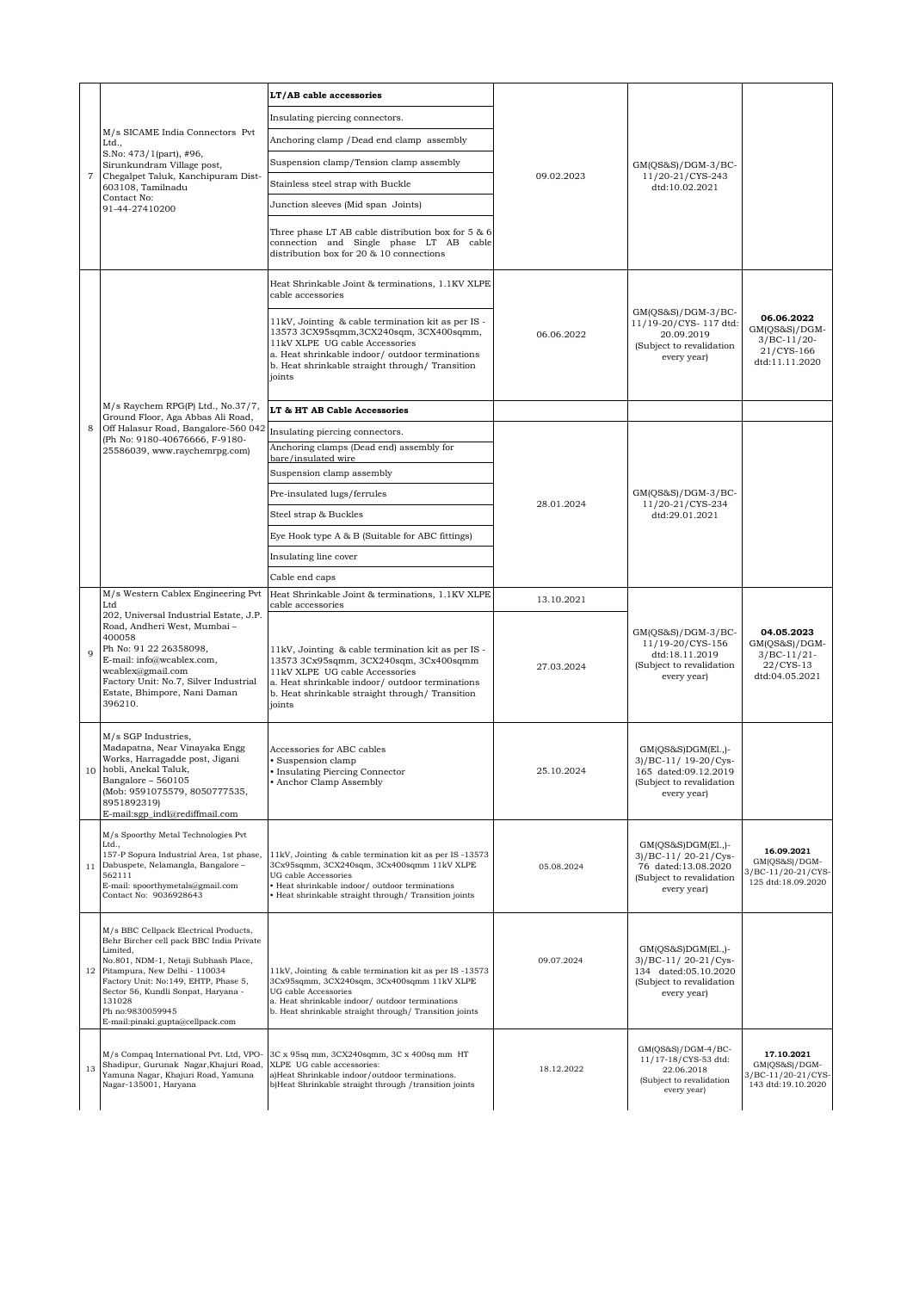| $\scriptstyle{7}$ | M/s SICAME India Connectors Pvt<br>Ltd.,<br>S.No: 473/1(part), #96,<br>Sirunkundram Village post,<br>Chegalpet Taluk, Kanchipuram Dist-<br>603108, Tamilnadu<br>Contact No:<br>91-44-27410200                                                                                                                           | LT/AB cable accessories                                                                                                                                                                                                                        | 09.02.2023 | GM(QS&S)/DGM-3/BC-<br>11/20-21/CYS-243<br>dtd:10.02.2021                                                         |                                                                                |
|-------------------|-------------------------------------------------------------------------------------------------------------------------------------------------------------------------------------------------------------------------------------------------------------------------------------------------------------------------|------------------------------------------------------------------------------------------------------------------------------------------------------------------------------------------------------------------------------------------------|------------|------------------------------------------------------------------------------------------------------------------|--------------------------------------------------------------------------------|
|                   |                                                                                                                                                                                                                                                                                                                         | Insulating piercing connectors.                                                                                                                                                                                                                |            |                                                                                                                  |                                                                                |
|                   |                                                                                                                                                                                                                                                                                                                         | Anchoring clamp /Dead end clamp assembly                                                                                                                                                                                                       |            |                                                                                                                  |                                                                                |
|                   |                                                                                                                                                                                                                                                                                                                         | Suspension clamp/Tension clamp assembly                                                                                                                                                                                                        |            |                                                                                                                  |                                                                                |
|                   |                                                                                                                                                                                                                                                                                                                         | Stainless steel strap with Buckle                                                                                                                                                                                                              |            |                                                                                                                  |                                                                                |
|                   |                                                                                                                                                                                                                                                                                                                         | Junction sleeves (Mid span Joints)                                                                                                                                                                                                             |            |                                                                                                                  |                                                                                |
|                   |                                                                                                                                                                                                                                                                                                                         | Three phase LT AB cable distribution box for 5 & 6<br>connection and Single phase LT AB cable<br>distribution box for 20 & 10 connections                                                                                                      |            |                                                                                                                  |                                                                                |
| 8                 | M/s Raychem RPG(P) Ltd., No.37/7,<br>Ground Floor, Aga Abbas Ali Road,<br>Off Halasur Road, Bangalore-560 042<br>(Ph No: 9180-40676666, F-9180-<br>25586039, www.raychemrpg.com)                                                                                                                                        | Heat Shrinkable Joint & terminations, 1.1KV XLPE<br>cable accessories                                                                                                                                                                          | 06.06.2022 | GM(QS&S)/DGM-3/BC-<br>11/19-20/CYS-117 dtd:<br>20.09.2019<br>(Subject to revalidation<br>every year)             |                                                                                |
|                   |                                                                                                                                                                                                                                                                                                                         | 11kV, Jointing & cable termination kit as per IS -<br>13573 3CX95sqmm, 3CX240sqm, 3CX400sqmm,<br>11kV XLPE UG cable Accessories<br>a. Heat shrinkable indoor/ outdoor terminations<br>b. Heat shrinkable straight through/Transition<br>joints |            |                                                                                                                  | 06.06.2022<br>$GM(QS&S)/DGM-$<br>$3/BC-11/20-$<br>21/CYS-166<br>dtd:11.11.2020 |
|                   |                                                                                                                                                                                                                                                                                                                         | LT & HT AB Cable Accessories                                                                                                                                                                                                                   |            |                                                                                                                  |                                                                                |
|                   |                                                                                                                                                                                                                                                                                                                         | Insulating piercing connectors.<br>Anchoring clamps (Dead end) assembly for<br>bare/insulated wire                                                                                                                                             |            |                                                                                                                  |                                                                                |
|                   |                                                                                                                                                                                                                                                                                                                         | Suspension clamp assembly                                                                                                                                                                                                                      |            |                                                                                                                  |                                                                                |
|                   |                                                                                                                                                                                                                                                                                                                         | Pre-insulated lugs/ferrules                                                                                                                                                                                                                    | 28.01.2024 | $GM(QS&S)/DGM-3/BC-$<br>11/20-21/CYS-234<br>dtd:29.01.2021                                                       |                                                                                |
|                   |                                                                                                                                                                                                                                                                                                                         | Steel strap & Buckles                                                                                                                                                                                                                          |            |                                                                                                                  |                                                                                |
|                   |                                                                                                                                                                                                                                                                                                                         | Eye Hook type A & B (Suitable for ABC fittings)                                                                                                                                                                                                |            |                                                                                                                  |                                                                                |
|                   |                                                                                                                                                                                                                                                                                                                         | Insulating line cover                                                                                                                                                                                                                          |            |                                                                                                                  |                                                                                |
|                   |                                                                                                                                                                                                                                                                                                                         | Cable end caps                                                                                                                                                                                                                                 |            |                                                                                                                  |                                                                                |
| $\mathbf{Q}$      | M/s Western Cablex Engineering Pvt<br>Ltd<br>202, Universal Industrial Estate, J.P.<br>Road, Andheri West, Mumbai -<br>400058<br>Ph No: 91 22 26358098,<br>E-mail: info@wcablex.com,<br>wcablex@gmail.com<br>Factory Unit: No.7, Silver Industrial<br>Estate, Bhimpore, Nani Daman<br>396210.                           | Heat Shrinkable Joint & terminations, 1.1KV XLPE<br>cable accessories                                                                                                                                                                          | 13.10.2021 |                                                                                                                  |                                                                                |
|                   |                                                                                                                                                                                                                                                                                                                         | 11kV, Jointing & cable termination kit as per IS -<br>13573 3Cx95sqmm, 3CX240sqm, 3Cx400sqmm<br>11kV XLPE UG cable Accessories<br>a. Heat shrinkable indoor/ outdoor terminations<br>b. Heat shrinkable straight through/ Transition<br>joints | 27.03.2024 | GM(QS&S)/DGM-3/BC-<br>11/19-20/CYS-156<br>dtd:18.11.2019<br>(Subject to revalidation<br>every year)              | 04.05.2023<br>GM(QS&S)/DGM-<br>$3/BC-11/21-$<br>22/CYS-13<br>dtd:04.05.2021    |
|                   | M/s SGP Industries,<br>Madapatna, Near Vinayaka Engg<br>Works, Harragadde post, Jigani<br>10 hobli, Anekal Taluk,<br>Bangalore - 560105<br>(Mob: 9591075579, 8050777535,<br>8951892319)<br>E-mail:sgp_indl@rediffmail.com                                                                                               | Accessories for ABC cables<br>· Suspension clamp<br>• Insulating Piercing Connector<br>Anchor Clamp Assembly                                                                                                                                   | 25.10.2024 | $GM(QS&S)DGM(E1.,)$ -<br>3)/BC-11/ 19-20/Cys-<br>165 dated:09.12.2019<br>(Subject to revalidation<br>every year) |                                                                                |
| 11                | M/s Spoorthy Metal Technologies Pvt<br>Ltd.,<br>157-P Sopura Industrial Area, 1st phase,<br>Dabuspete, Nelamangla, Bangalore -<br>562111<br>E-mail: spoorthymetals@gmail.com<br>Contact No: 9036928643                                                                                                                  | 11kV, Jointing & cable termination kit as per IS-13573<br>3Cx95sqmm, 3CX240sqm, 3Cx400sqmm 11kV XLPE<br>UG cable Accessories<br>· Heat shrinkable indoor/outdoor terminations<br>· Heat shrinkable straight through/ Transition joints         | 05.08.2024 | GM(OS&S)DGM(El.,)-<br>3)/BC-11/20-21/Cys-<br>76 dated:13.08.2020<br>(Subject to revalidation<br>every year)      | 16.09.2021<br>$GM(QS&S)/DGM-$<br>3/BC-11/20-21/CYS-<br>125 dtd:18.09.2020      |
| 12                | M/s BBC Cellpack Electrical Products,<br>Behr Bircher cell pack BBC India Private<br>Limited,<br>No.801, NDM-1, Netaji Subhash Place,<br>Pitampura, New Delhi - 110034<br>Factory Unit: No:149, EHTP, Phase 5,<br>Sector 56, Kundli Sonpat, Haryana -<br>131028<br>Ph no:9830059945<br>E-mail:pinaki.gupta@cellpack.com | 11kV, Jointing & cable termination kit as per IS-13573<br>3Cx95sqmm, 3CX240sqm, 3Cx400sqmm 11kV XLPE<br>UG cable Accessories<br>a. Heat shrinkable indoor/ outdoor terminations<br>b. Heat shrinkable straight through/ Transition joints      | 09.07.2024 | $GM(QS&S)DGM(E1.)$ -<br>3)/BC-11/20-21/Cys-<br>134 dated:05.10.2020<br>(Subject to revalidation<br>every year)   |                                                                                |
| 13                | M/s Compaq International Pvt. Ltd, VPO-<br>Shadipur, Gurunak Nagar, Khajuri Road,<br>Yamuna Nagar, Khajuri Road, Yamuna<br>Nagar-135001, Haryana                                                                                                                                                                        | 3C x 95sq mm, 3CX240sqmm, 3C x 400sq mm HT<br>XLPE UG cable accessories:<br>a)Heat Shrinkable indoor/outdoor terminations.<br>b)Heat Shrinkable straight through /transition joints                                                            | 18.12.2022 | GM(QS&S)/DGM-4/BC-<br>11/17-18/CYS-53 dtd:<br>22.06.2018<br>(Subject to revalidation<br>every year)              | 17.10.2021<br>$GM(QS&S)/DGM-$<br>3/BC-11/20-21/CYS-<br>143 dtd:19.10.2020      |